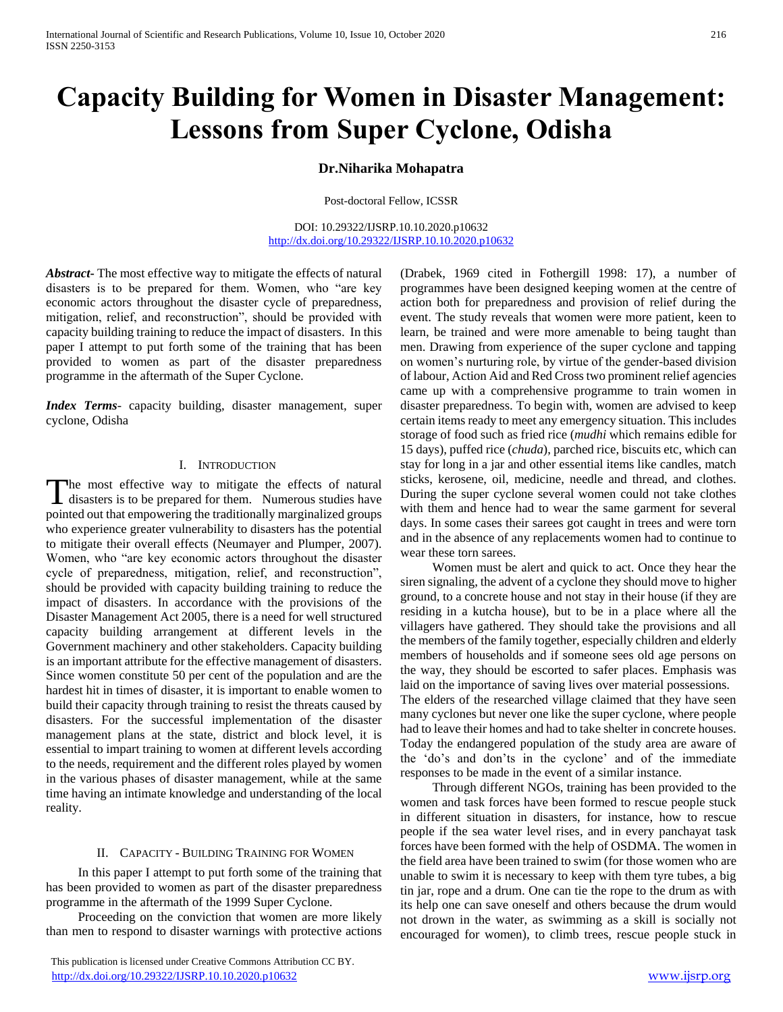# **Capacity Building for Women in Disaster Management: Lessons from Super Cyclone, Odisha**

# **Dr.Niharika Mohapatra**

Post-doctoral Fellow, ICSSR

DOI: 10.29322/IJSRP.10.10.2020.p10632 <http://dx.doi.org/10.29322/IJSRP.10.10.2020.p10632>

*Abstract***-** The most effective way to mitigate the effects of natural disasters is to be prepared for them. Women, who "are key economic actors throughout the disaster cycle of preparedness, mitigation, relief, and reconstruction", should be provided with capacity building training to reduce the impact of disasters. In this paper I attempt to put forth some of the training that has been provided to women as part of the disaster preparedness programme in the aftermath of the Super Cyclone.

*Index Terms*- capacity building, disaster management, super cyclone, Odisha

## I. INTRODUCTION

The most effective way to mitigate the effects of natural The most effective way to mitigate the effects of natural disasters is to be prepared for them. Numerous studies have pointed out that empowering the traditionally marginalized groups who experience greater vulnerability to disasters has the potential to mitigate their overall effects (Neumayer and Plumper, 2007). Women, who "are key economic actors throughout the disaster cycle of preparedness, mitigation, relief, and reconstruction", should be provided with capacity building training to reduce the impact of disasters. In accordance with the provisions of the Disaster Management Act 2005, there is a need for well structured capacity building arrangement at different levels in the Government machinery and other stakeholders. Capacity building is an important attribute for the effective management of disasters. Since women constitute 50 per cent of the population and are the hardest hit in times of disaster, it is important to enable women to build their capacity through training to resist the threats caused by disasters. For the successful implementation of the disaster management plans at the state, district and block level, it is essential to impart training to women at different levels according to the needs, requirement and the different roles played by women in the various phases of disaster management, while at the same time having an intimate knowledge and understanding of the local reality.

## II. CAPACITY - BUILDING TRAINING FOR WOMEN

 In this paper I attempt to put forth some of the training that has been provided to women as part of the disaster preparedness programme in the aftermath of the 1999 Super Cyclone.

 Proceeding on the conviction that women are more likely than men to respond to disaster warnings with protective actions (Drabek, 1969 cited in Fothergill 1998: 17), a number of programmes have been designed keeping women at the centre of action both for preparedness and provision of relief during the event. The study reveals that women were more patient, keen to learn, be trained and were more amenable to being taught than men. Drawing from experience of the super cyclone and tapping on women's nurturing role, by virtue of the gender-based division of labour, Action Aid and Red Cross two prominent relief agencies came up with a comprehensive programme to train women in disaster preparedness. To begin with, women are advised to keep certain items ready to meet any emergency situation. This includes storage of food such as fried rice (*mudhi* which remains edible for 15 days), puffed rice (*chuda*), parched rice, biscuits etc, which can stay for long in a jar and other essential items like candles, match sticks, kerosene, oil, medicine, needle and thread, and clothes. During the super cyclone several women could not take clothes with them and hence had to wear the same garment for several days. In some cases their sarees got caught in trees and were torn and in the absence of any replacements women had to continue to wear these torn sarees.

 Women must be alert and quick to act. Once they hear the siren signaling, the advent of a cyclone they should move to higher ground, to a concrete house and not stay in their house (if they are residing in a kutcha house), but to be in a place where all the villagers have gathered. They should take the provisions and all the members of the family together, especially children and elderly members of households and if someone sees old age persons on the way, they should be escorted to safer places. Emphasis was laid on the importance of saving lives over material possessions. The elders of the researched village claimed that they have seen many cyclones but never one like the super cyclone, where people had to leave their homes and had to take shelter in concrete houses. Today the endangered population of the study area are aware of the 'do's and don'ts in the cyclone' and of the immediate responses to be made in the event of a similar instance.

 Through different NGOs, training has been provided to the women and task forces have been formed to rescue people stuck in different situation in disasters, for instance, how to rescue people if the sea water level rises, and in every panchayat task forces have been formed with the help of OSDMA. The women in the field area have been trained to swim (for those women who are unable to swim it is necessary to keep with them tyre tubes, a big tin jar, rope and a drum. One can tie the rope to the drum as with its help one can save oneself and others because the drum would not drown in the water, as swimming as a skill is socially not encouraged for women), to climb trees, rescue people stuck in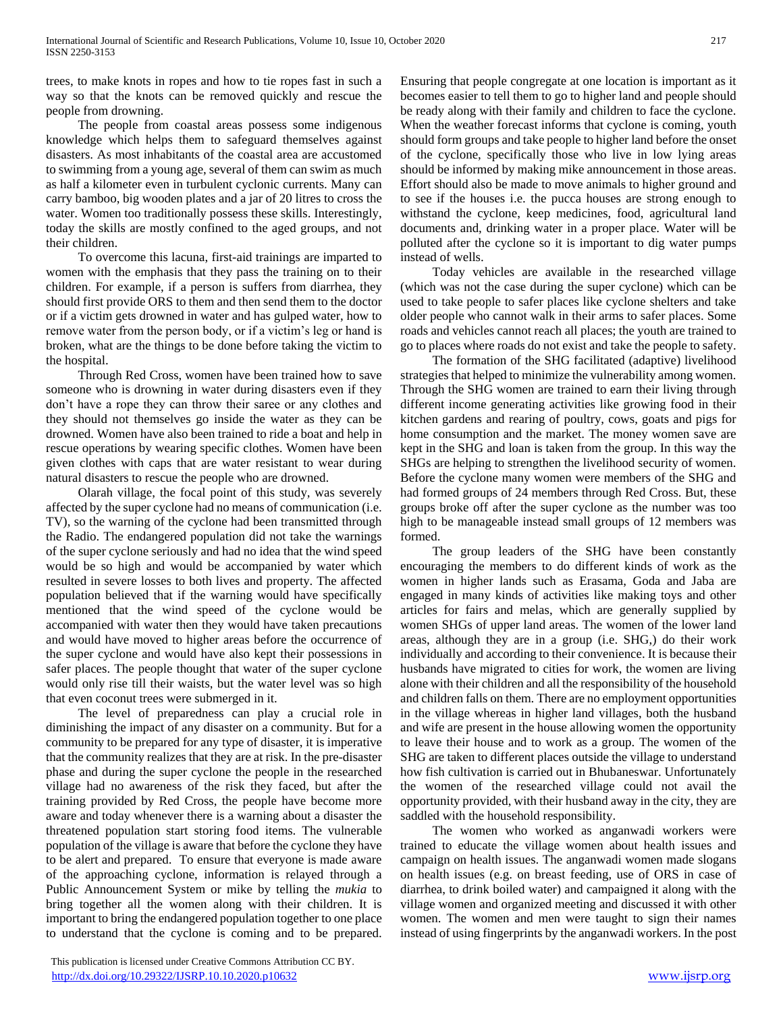trees, to make knots in ropes and how to tie ropes fast in such a way so that the knots can be removed quickly and rescue the people from drowning.

 The people from coastal areas possess some indigenous knowledge which helps them to safeguard themselves against disasters. As most inhabitants of the coastal area are accustomed to swimming from a young age, several of them can swim as much as half a kilometer even in turbulent cyclonic currents. Many can carry bamboo, big wooden plates and a jar of 20 litres to cross the water. Women too traditionally possess these skills. Interestingly, today the skills are mostly confined to the aged groups, and not their children.

 To overcome this lacuna, first-aid trainings are imparted to women with the emphasis that they pass the training on to their children. For example, if a person is suffers from diarrhea, they should first provide ORS to them and then send them to the doctor or if a victim gets drowned in water and has gulped water, how to remove water from the person body, or if a victim's leg or hand is broken, what are the things to be done before taking the victim to the hospital.

 Through Red Cross, women have been trained how to save someone who is drowning in water during disasters even if they don't have a rope they can throw their saree or any clothes and they should not themselves go inside the water as they can be drowned. Women have also been trained to ride a boat and help in rescue operations by wearing specific clothes. Women have been given clothes with caps that are water resistant to wear during natural disasters to rescue the people who are drowned.

 Olarah village, the focal point of this study, was severely affected by the super cyclone had no means of communication (i.e. TV), so the warning of the cyclone had been transmitted through the Radio. The endangered population did not take the warnings of the super cyclone seriously and had no idea that the wind speed would be so high and would be accompanied by water which resulted in severe losses to both lives and property. The affected population believed that if the warning would have specifically mentioned that the wind speed of the cyclone would be accompanied with water then they would have taken precautions and would have moved to higher areas before the occurrence of the super cyclone and would have also kept their possessions in safer places. The people thought that water of the super cyclone would only rise till their waists, but the water level was so high that even coconut trees were submerged in it.

 The level of preparedness can play a crucial role in diminishing the impact of any disaster on a community. But for a community to be prepared for any type of disaster, it is imperative that the community realizes that they are at risk. In the pre-disaster phase and during the super cyclone the people in the researched village had no awareness of the risk they faced, but after the training provided by Red Cross, the people have become more aware and today whenever there is a warning about a disaster the threatened population start storing food items. The vulnerable population of the village is aware that before the cyclone they have to be alert and prepared. To ensure that everyone is made aware of the approaching cyclone, information is relayed through a Public Announcement System or mike by telling the *mukia* to bring together all the women along with their children. It is important to bring the endangered population together to one place to understand that the cyclone is coming and to be prepared.

becomes easier to tell them to go to higher land and people should be ready along with their family and children to face the cyclone. When the weather forecast informs that cyclone is coming, youth should form groups and take people to higher land before the onset of the cyclone, specifically those who live in low lying areas should be informed by making mike announcement in those areas. Effort should also be made to move animals to higher ground and to see if the houses i.e. the pucca houses are strong enough to withstand the cyclone, keep medicines, food, agricultural land documents and, drinking water in a proper place. Water will be polluted after the cyclone so it is important to dig water pumps instead of wells.

Ensuring that people congregate at one location is important as it

 Today vehicles are available in the researched village (which was not the case during the super cyclone) which can be used to take people to safer places like cyclone shelters and take older people who cannot walk in their arms to safer places. Some roads and vehicles cannot reach all places; the youth are trained to go to places where roads do not exist and take the people to safety.

 The formation of the SHG facilitated (adaptive) livelihood strategies that helped to minimize the vulnerability among women. Through the SHG women are trained to earn their living through different income generating activities like growing food in their kitchen gardens and rearing of poultry, cows, goats and pigs for home consumption and the market. The money women save are kept in the SHG and loan is taken from the group. In this way the SHGs are helping to strengthen the livelihood security of women. Before the cyclone many women were members of the SHG and had formed groups of 24 members through Red Cross. But, these groups broke off after the super cyclone as the number was too high to be manageable instead small groups of 12 members was formed.

 The group leaders of the SHG have been constantly encouraging the members to do different kinds of work as the women in higher lands such as Erasama, Goda and Jaba are engaged in many kinds of activities like making toys and other articles for fairs and melas, which are generally supplied by women SHGs of upper land areas. The women of the lower land areas, although they are in a group (i.e. SHG,) do their work individually and according to their convenience. It is because their husbands have migrated to cities for work, the women are living alone with their children and all the responsibility of the household and children falls on them. There are no employment opportunities in the village whereas in higher land villages, both the husband and wife are present in the house allowing women the opportunity to leave their house and to work as a group. The women of the SHG are taken to different places outside the village to understand how fish cultivation is carried out in Bhubaneswar. Unfortunately the women of the researched village could not avail the opportunity provided, with their husband away in the city, they are saddled with the household responsibility.

 The women who worked as anganwadi workers were trained to educate the village women about health issues and campaign on health issues. The anganwadi women made slogans on health issues (e.g. on breast feeding, use of ORS in case of diarrhea, to drink boiled water) and campaigned it along with the village women and organized meeting and discussed it with other women. The women and men were taught to sign their names instead of using fingerprints by the anganwadi workers. In the post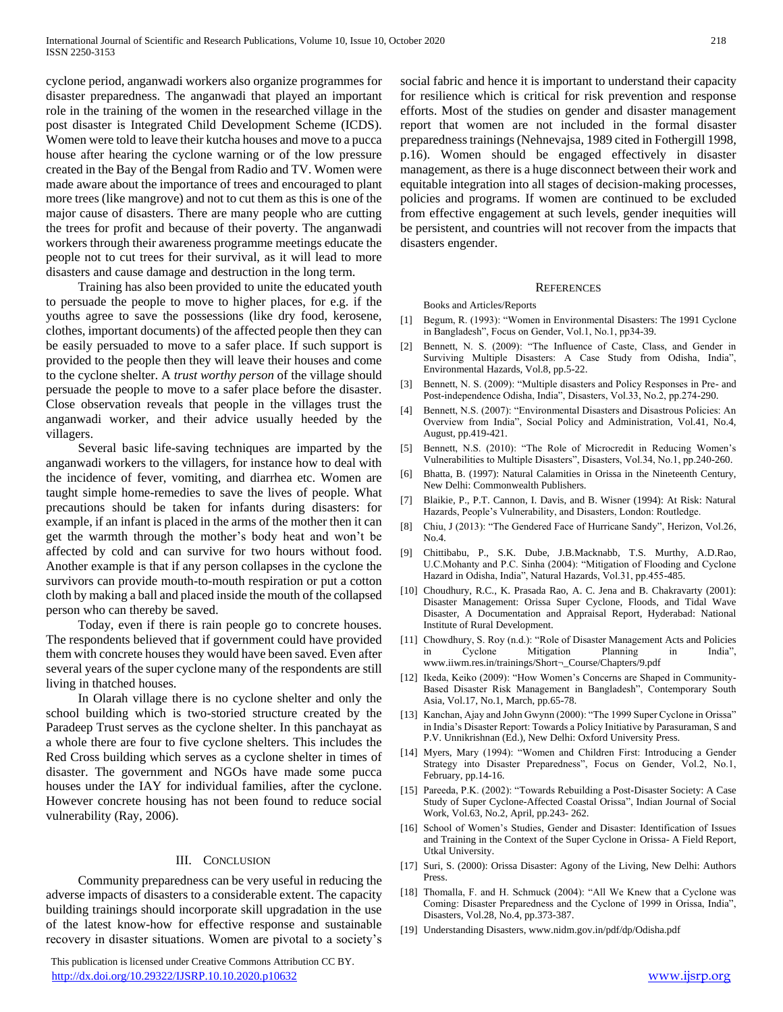cyclone period, anganwadi workers also organize programmes for disaster preparedness. The anganwadi that played an important role in the training of the women in the researched village in the post disaster is Integrated Child Development Scheme (ICDS). Women were told to leave their kutcha houses and move to a pucca house after hearing the cyclone warning or of the low pressure created in the Bay of the Bengal from Radio and TV. Women were made aware about the importance of trees and encouraged to plant more trees (like mangrove) and not to cut them as this is one of the major cause of disasters. There are many people who are cutting the trees for profit and because of their poverty. The anganwadi workers through their awareness programme meetings educate the people not to cut trees for their survival, as it will lead to more disasters and cause damage and destruction in the long term.

 Training has also been provided to unite the educated youth to persuade the people to move to higher places, for e.g. if the youths agree to save the possessions (like dry food, kerosene, clothes, important documents) of the affected people then they can be easily persuaded to move to a safer place. If such support is provided to the people then they will leave their houses and come to the cyclone shelter. A *trust worthy person* of the village should persuade the people to move to a safer place before the disaster. Close observation reveals that people in the villages trust the anganwadi worker, and their advice usually heeded by the villagers.

 Several basic life-saving techniques are imparted by the anganwadi workers to the villagers, for instance how to deal with the incidence of fever, vomiting, and diarrhea etc. Women are taught simple home-remedies to save the lives of people. What precautions should be taken for infants during disasters: for example, if an infant is placed in the arms of the mother then it can get the warmth through the mother's body heat and won't be affected by cold and can survive for two hours without food. Another example is that if any person collapses in the cyclone the survivors can provide mouth-to-mouth respiration or put a cotton cloth by making a ball and placed inside the mouth of the collapsed person who can thereby be saved.

 Today, even if there is rain people go to concrete houses. The respondents believed that if government could have provided them with concrete houses they would have been saved. Even after several years of the super cyclone many of the respondents are still living in thatched houses.

 In Olarah village there is no cyclone shelter and only the school building which is two-storied structure created by the Paradeep Trust serves as the cyclone shelter. In this panchayat as a whole there are four to five cyclone shelters. This includes the Red Cross building which serves as a cyclone shelter in times of disaster. The government and NGOs have made some pucca houses under the IAY for individual families, after the cyclone. However concrete housing has not been found to reduce social vulnerability (Ray, 2006).

#### III. CONCLUSION

 Community preparedness can be very useful in reducing the adverse impacts of disasters to a considerable extent. The capacity building trainings should incorporate skill upgradation in the use of the latest know-how for effective response and sustainable recovery in disaster situations. Women are pivotal to a society's

 This publication is licensed under Creative Commons Attribution CC BY. <http://dx.doi.org/10.29322/IJSRP.10.10.2020.p10632> [www.ijsrp.org](http://ijsrp.org/)

social fabric and hence it is important to understand their capacity for resilience which is critical for risk prevention and response efforts. Most of the studies on gender and disaster management report that women are not included in the formal disaster preparedness trainings (Nehnevajsa, 1989 cited in Fothergill 1998, p.16). Women should be engaged effectively in disaster management, as there is a huge disconnect between their work and equitable integration into all stages of decision-making processes, policies and programs. If women are continued to be excluded from effective engagement at such levels, gender inequities will be persistent, and countries will not recover from the impacts that disasters engender.

#### **REFERENCES**

Books and Articles/Reports

- [1] Begum, R. (1993): "Women in Environmental Disasters: The 1991 Cyclone in Bangladesh", Focus on Gender, Vol.1, No.1, pp34-39.
- [2] Bennett, N. S. (2009): "The Influence of Caste, Class, and Gender in Surviving Multiple Disasters: A Case Study from Odisha, India", Environmental Hazards, Vol.8, pp.5-22.
- [3] Bennett, N. S. (2009): "Multiple disasters and Policy Responses in Pre- and Post-independence Odisha, India", Disasters, Vol.33, No.2, pp.274-290.
- [4] Bennett, N.S. (2007): "Environmental Disasters and Disastrous Policies: An Overview from India", Social Policy and Administration, Vol.41, No.4, August, pp.419-421.
- [5] Bennett, N.S. (2010): "The Role of Microcredit in Reducing Women's Vulnerabilities to Multiple Disasters", Disasters, Vol.34, No.1, pp.240-260.
- [6] Bhatta, B. (1997): Natural Calamities in Orissa in the Nineteenth Century, New Delhi: Commonwealth Publishers.
- [7] Blaikie, P., P.T. Cannon, I. Davis, and B. Wisner (1994): At Risk: Natural Hazards, People's Vulnerability, and Disasters, London: Routledge.
- [8] Chiu, J (2013): "The Gendered Face of Hurricane Sandy", Herizon, Vol.26, No.4.
- [9] Chittibabu, P., S.K. Dube, J.B.Macknabb, T.S. Murthy, A.D.Rao, U.C.Mohanty and P.C. Sinha (2004): "Mitigation of Flooding and Cyclone Hazard in Odisha, India", Natural Hazards, Vol.31, pp.455-485.
- [10] Choudhury, R.C., K. Prasada Rao, A. C. Jena and B. Chakravarty (2001): Disaster Management: Orissa Super Cyclone, Floods, and Tidal Wave Disaster, A Documentation and Appraisal Report, Hyderabad: National Institute of Rural Development.
- [11] Chowdhury, S. Roy (n.d.): "Role of Disaster Management Acts and Policies in Cyclone Mitigation Planning in India", www.iiwm.res.in/trainings/Short¬\_Course/Chapters/9.pdf
- [12] Ikeda, Keiko (2009): "How Women's Concerns are Shaped in Community-Based Disaster Risk Management in Bangladesh", Contemporary South Asia, Vol.17, No.1, March, pp.65-78.
- [13] Kanchan, Ajay and John Gwynn (2000): "The 1999 Super Cyclone in Orissa" in India's Disaster Report: Towards a Policy Initiative by Parasuraman, S and P.V. Unnikrishnan (Ed.), New Delhi: Oxford University Press.
- [14] Myers, Mary (1994): "Women and Children First: Introducing a Gender Strategy into Disaster Preparedness", Focus on Gender, Vol.2, No.1, February, pp.14-16.
- [15] Pareeda, P.K. (2002): "Towards Rebuilding a Post-Disaster Society: A Case Study of Super Cyclone-Affected Coastal Orissa", Indian Journal of Social Work, Vol.63, No.2, April, pp.243- 262.
- [16] School of Women's Studies, Gender and Disaster: Identification of Issues and Training in the Context of the Super Cyclone in Orissa- A Field Report, Utkal University.
- [17] Suri, S. (2000): Orissa Disaster: Agony of the Living, New Delhi: Authors Press.
- [18] Thomalla, F. and H. Schmuck (2004): "All We Knew that a Cyclone was Coming: Disaster Preparedness and the Cyclone of 1999 in Orissa, India", Disasters, Vol.28, No.4, pp.373-387.
- [19] Understanding Disasters, www.nidm.gov.in/pdf/dp/Odisha.pdf